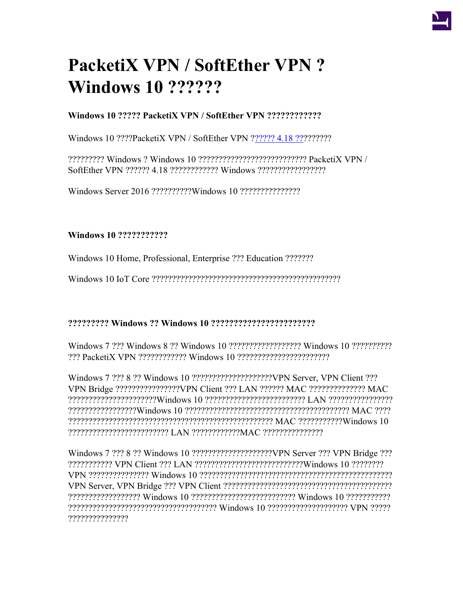# **PacketiX VPN / SoftEther VPN ? Windows 10 ??????**

## **Windows 10 ????? PacketiX VPN / SoftEther VPN ????????????**

Windows 10 ????PacketiX VPN / SoftEther VPN ?[????? 4.18 ??](https://ja.softether.org/5-download/history)????????

????????? Windows ? Windows 10 ??????????????????????????? PacketiX VPN / SoftEther VPN ?????? 4.18 ???????????? Windows ?????????????????

Windows Server 2016 ??????????Windows 10 ???????????????

### **Windows 10 ???????????**

Windows 10 Home, Professional, Enterprise ??? Education ???????

Windows 10 IoT Core ???????????????????????????????????????????????

### **????????? Windows ?? Windows 10 ???????????????????????**

Windows 7 ??? Windows 8 ?? Windows 10 ?????????????????? Windows 10 ?????????? ??? PacketiX VPN ???????????? Windows 10 ???????????????????????

Windows 7 ??? 8 ?? Windows 10 ????????????????????VPN Server, VPN Client ??? VPN Bridge ????????????????VPN Client ??? LAN ?????? MAC ?????????????? MAC ??????????????????????Windows 10 ????????????????????????? LAN ???????????????? ?????????????????Windows 10 ????????????????????????????????????????? MAC ???? ??????????????????????????????????????????????????? MAC ???????????Windows 10 ????????????????????????? LAN ????????????MAC ???????????????

Windows 7 ??? 8 ?? Windows 10 ????????????????????VPN Server ??? VPN Bridge ??? ??????????? VPN Client ??? LAN ???????????????????????????Windows 10 ???????? VPN ??????????????? Windows 10 ???????????????????????????????????????????????? VPN Server, VPN Bridge ??? VPN Client ?????????????????????????????????????????? ?????????????????? Windows 10 ?????????????????????????? Windows 10 ??????????? ????????????????????????????????????? Windows 10 ???????????????????? VPN ????? ???????????????